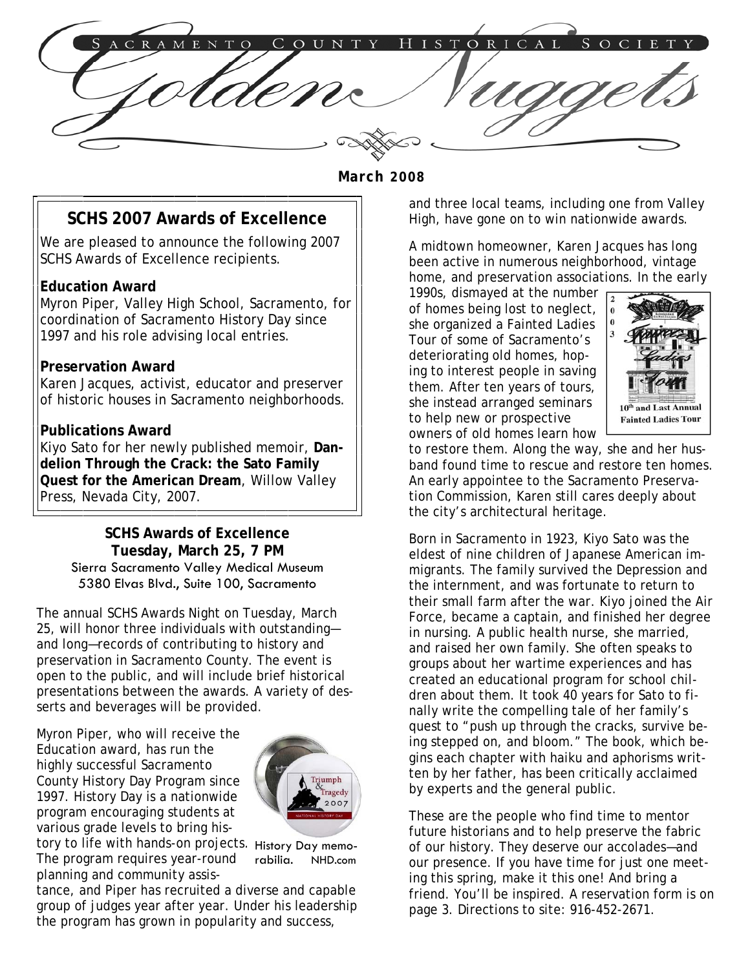$C$  R A M STORICAL ENTO СОЏНТҮ

 **March 2008** 

# **SCHS 2007 Awards of Excellence**

We are pleased to announce the following 2007 SCHS Awards of Excellence recipients.

#### **Education Award**

Myron Piper, Valley High School, Sacramento, for coordination of Sacramento History Day since 1997 and his role advising local entries.

#### **Preservation Award**

Karen Jacques, activist, educator and preserver of historic houses in Sacramento neighborhoods.

#### **Publications Award**

Kiyo Sato for her newly published memoir, **Dandelion Through the Crack: the Sato Family Quest for the American Dream**, Willow Valley Press, Nevada City, 2007.

> **SCHS Awards of Excellence Tuesday, March 25, 7 PM**  Sierra Sacramento Valley Medical Museum 5380 Elvas Blvd., Suite 100, Sacramento

The annual SCHS Awards Night on Tuesday, March 25, will honor three individuals with outstanding and long—records of contributing to history and preservation in Sacramento County. The event is open to the public, and will include brief historical presentations between the awards. A variety of desserts and beverages will be provided.

Myron Piper, who will receive the Education award, has run the highly successful Sacramento County History Day Program since 1997. History Day is a nationwide program encouraging students at various grade levels to bring his-



tory to life with hands-on projects. History Day memo-The program requires year-round planning and community assisrabilia. NHD.com

tance, and Piper has recruited a diverse and capable group of judges year after year. Under his leadership the program has grown in popularity and success,

and three local teams, including one from Valley High, have gone on to win nationwide awards.

A midtown homeowner, Karen Jacques has long been active in numerous neighborhood, vintage home, and preservation associations. In the early

1990s, dismayed at the number of homes being lost to neglect, she organized a Fainted Ladies Tour of some of Sacramento's deteriorating old homes, hoping to interest people in saving them. After ten years of tours, she instead arranged seminars to help new or prospective owners of old homes learn how



to restore them. Along the way, she and her husband found time to rescue and restore ten homes. An early appointee to the Sacramento Preservation Commission, Karen still cares deeply about the city's architectural heritage.

Born in Sacramento in 1923, Kiyo Sato was the eldest of nine children of Japanese American immigrants. The family survived the Depression and the internment, and was fortunate to return to their small farm after the war. Kiyo joined the Air Force, became a captain, and finished her degree in nursing. A public health nurse, she married, and raised her own family. She often speaks to groups about her wartime experiences and has created an educational program for school children about them. It took 40 years for Sato to finally write the compelling tale of her family's quest to "push up through the cracks, survive being stepped on, and bloom." The book, which begins each chapter with haiku and aphorisms written by her father, has been critically acclaimed by experts and the general public.

These are the people who find time to mentor future historians and to help preserve the fabric of our history. They deserve our accolades—and our presence. If you have time for just one meeting this spring, make it this one! And bring a friend. You'll be inspired. A reservation form is on page 3. Directions to site: 916-452-2671.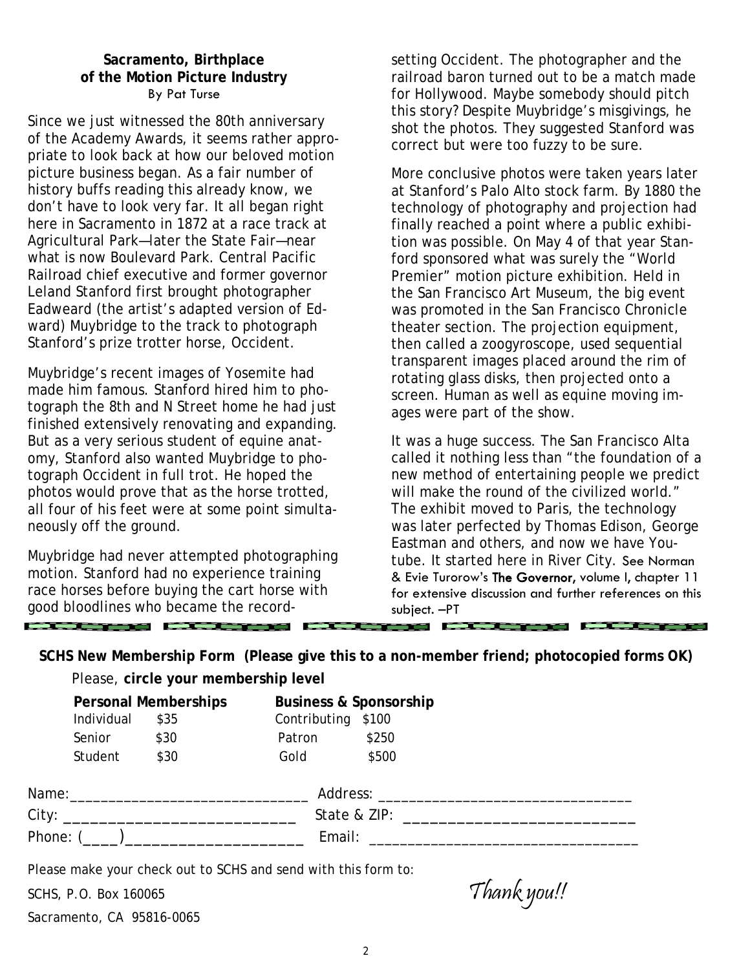### **Sacramento, Birthplace of the Motion Picture Industry**  By Pat Turse

Since we just witnessed the 80th anniversary of the Academy Awards, it seems rather appropriate to look back at how our beloved motion picture business began. As a fair number of history buffs reading this already know, we don't have to look very far. It all began right here in Sacramento in 1872 at a race track at Agricultural Park—later the State Fair—near what is now Boulevard Park. Central Pacific Railroad chief executive and former governor Leland Stanford first brought photographer Eadweard (the artist's adapted version of Edward) Muybridge to the track to photograph Stanford's prize trotter horse, Occident.

Muybridge's recent images of Yosemite had made him famous. Stanford hired him to photograph the 8th and N Street home he had just finished extensively renovating and expanding. But as a very serious student of equine anatomy, Stanford also wanted Muybridge to photograph Occident in full trot. He hoped the photos would prove that as the horse trotted, all four of his feet were at some point simultaneously off the ground.

Muybridge had never attempted photographing motion. Stanford had no experience training race horses before buying the cart horse with good bloodlines who became the record-

<u>the the company of the company of the company of the company of the company of the company of the company of the company of the company of the company of the company of the company of the company of the company of the com</u>

setting Occident. The photographer and the railroad baron turned out to be a match made for Hollywood. Maybe somebody should pitch this story? Despite Muybridge's misgivings, he shot the photos. They suggested Stanford was correct but were too fuzzy to be sure.

More conclusive photos were taken years later at Stanford's Palo Alto stock farm. By 1880 the technology of photography and projection had finally reached a point where a public exhibition was possible. On May 4 of that year Stanford sponsored what was surely the "World Premier" motion picture exhibition. Held in the San Francisco Art Museum, the big event was promoted in the San Francisco Chronicle theater section. The projection equipment, then called a zoogyroscope, used sequential transparent images placed around the rim of rotating glass disks, then projected onto a screen. Human as well as equine moving images were part of the show.

It was a huge success. The San Francisco Alta called it nothing less than "the foundation of a new method of entertaining people we predict will make the round of the civilized world." The exhibit moved to Paris, the technology was later perfected by Thomas Edison, George Eastman and others, and now we have Youtube. It started here in River City. See Norman & Evie Turorow's The Governor, volume I, chapter 11 for extensive discussion and further references on this subject. –PT

**SCHS New Membership Form (Please give this to a non-member friend; photocopied forms OK)** 

Please, **circle your membership level** 

|                               | <b>Personal Memberships</b> |      | <b>Business &amp; Sponsorship</b> |                                                                                                                                                                                                                                |  |
|-------------------------------|-----------------------------|------|-----------------------------------|--------------------------------------------------------------------------------------------------------------------------------------------------------------------------------------------------------------------------------|--|
|                               | Individual                  | \$35 | Contributing \$100                |                                                                                                                                                                                                                                |  |
|                               | Senior                      | \$30 | Patron                            | \$250                                                                                                                                                                                                                          |  |
|                               | Student                     | \$30 | Gold                              | \$500                                                                                                                                                                                                                          |  |
| Name:________________________ |                             |      |                                   | Address: Analysis and the control of the control of the control of the control of the control of the control of the control of the control of the control of the control of the control of the control of the control of the c |  |
| City:                         |                             |      |                                   | State & ZIP:                                                                                                                                                                                                                   |  |
| Phone: (                      |                             |      |                                   | Email:                                                                                                                                                                                                                         |  |

Please make your check out to SCHS and send with this form to:

SCHS, P.O. Box 160065  $Thank you!!$ Sacramento, CA 95816-0065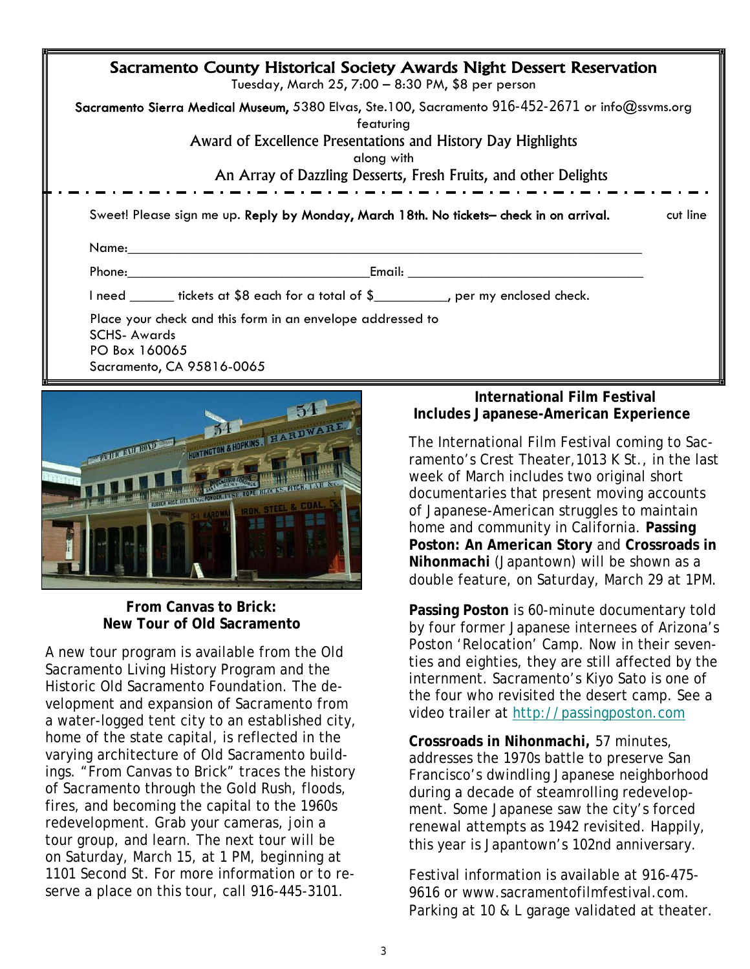| Sacramento County Historical Society Awards Night Dessert Reservation<br>Tuesday, March 25, 7:00 - 8:30 PM, \$8 per person |                                                                                                                                                                                                                                                                                                                                                                                                                                                                       |  |  |  |  |  |
|----------------------------------------------------------------------------------------------------------------------------|-----------------------------------------------------------------------------------------------------------------------------------------------------------------------------------------------------------------------------------------------------------------------------------------------------------------------------------------------------------------------------------------------------------------------------------------------------------------------|--|--|--|--|--|
|                                                                                                                            | Sacramento Sierra Medical Museum, 5380 Elvas, Ste.100, Sacramento 916-452-2671 or info@ssvms.org<br>featuring<br>Award of Excellence Presentations and History Day Highlights<br>along with<br>An Array of Dazzling Desserts, Fresh Fruits, and other Delights                                                                                                                                                                                                        |  |  |  |  |  |
| Sweet! Please sign me up. Reply by Monday, March 18th. No tickets- check in on arrival.<br>cut line<br>Name:____           |                                                                                                                                                                                                                                                                                                                                                                                                                                                                       |  |  |  |  |  |
|                                                                                                                            | Email: Email: Album and the state of the state of the state of the state of the state of the state of the state of the state of the state of the state of the state of the state of the state of the state of the state of the<br><b>Phone:</b> The contract of the contract of the contract of the contract of the contract of the contract of the contract of the contract of the contract of the contract of the contract of the contract of the contract of the c |  |  |  |  |  |
|                                                                                                                            | I need _______ tickets at \$8 each for a total of \$___________, per my enclosed check.                                                                                                                                                                                                                                                                                                                                                                               |  |  |  |  |  |
| <b>SCHS-Awards</b><br>PO Box 160065                                                                                        | Place your check and this form in an envelope addressed to<br>Sacramento, CA 95816-0065                                                                                                                                                                                                                                                                                                                                                                               |  |  |  |  |  |



## **From Canvas to Brick: New Tour of Old Sacramento**

A new tour program is available from the Old Sacramento Living History Program and the Historic Old Sacramento Foundation. The development and expansion of Sacramento from a water-logged tent city to an established city, home of the state capital, is reflected in the varying architecture of Old Sacramento buildings. "From Canvas to Brick" traces the history of Sacramento through the Gold Rush, floods, fires, and becoming the capital to the 1960s redevelopment. Grab your cameras, join a tour group, and learn. The next tour will be on Saturday, March 15, at 1 PM, beginning at 1101 Second St. For more information or to reserve a place on this tour, call 916-445-3101.

# **International Film Festival Includes Japanese-American Experience**

The International Film Festival coming to Sacramento's Crest Theater,1013 K St., in the last week of March includes two original short documentaries that present moving accounts of Japanese-American struggles to maintain home and community in California. **Passing Poston: An American Story** and **Crossroads in Nihonmachi** (Japantown) will be shown as a double feature, on Saturday, March 29 at 1PM.

**Passing Poston** is 60-minute documentary told by four former Japanese internees of Arizona's Poston 'Relocation' Camp. Now in their seventies and eighties, they are still affected by the internment. Sacramento's Kiyo Sato is one of the four who revisited the desert camp. See a video trailer at http://passingposton.com

**Crossroads in Nihonmachi,** 57 minutes, addresses the 1970s battle to preserve San Francisco's dwindling Japanese neighborhood during a decade of steamrolling redevelopment. Some Japanese saw the city's forced renewal attempts as 1942 revisited. Happily, this year is Japantown's 102nd anniversary.

Festival information is available at 916-475- 9616 or www.sacramentofilmfestival.com. Parking at 10 & L garage validated at theater.